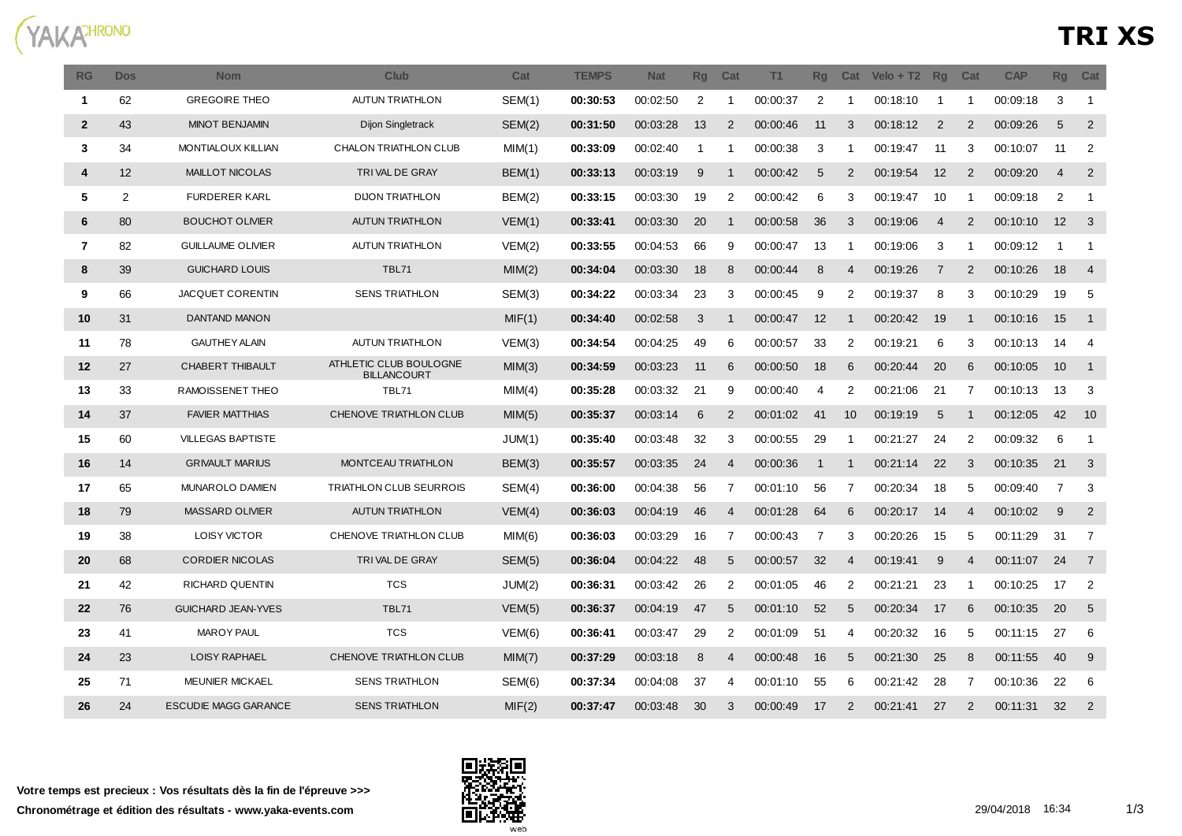

| <b>RG</b>      | <b>Dos</b> | <b>Nom</b>                  | Club                                         | Cat           | <b>TEMPS</b> | <b>Nat</b> | <b>Rg</b> | Cat            | T1       | Rq             | Cat            | $Velo + T2$ | <b>Rq</b>      | Cat            | <b>CAP</b> | <b>Rg</b>      | Cat                     |
|----------------|------------|-----------------------------|----------------------------------------------|---------------|--------------|------------|-----------|----------------|----------|----------------|----------------|-------------|----------------|----------------|------------|----------------|-------------------------|
| $\mathbf{1}$   | 62         | <b>GREGOIRE THEO</b>        | <b>AUTUN TRIATHLON</b>                       | <b>SEM(1)</b> | 00:30:53     | 00:02:50   | 2         | -1             | 00:00:37 | $\overline{2}$ | -1             | 00:18:10    | -1             | -1             | 00:09:18   | 3              | $\overline{1}$          |
| $\overline{2}$ | 43         | <b>MINOT BENJAMIN</b>       | Dijon Singletrack                            | SEM(2)        | 00:31:50     | 00:03:28   | 13        | $\overline{2}$ | 00:00:46 | 11             | 3              | 00:18:12    | 2              | $\overline{2}$ | 00:09:26   | 5              | $\overline{2}$          |
| 3              | 34         | <b>MONTIALOUX KILLIAN</b>   | CHALON TRIATHLON CLUB                        | MIM(1)        | 00:33:09     | 00:02:40   | -1        | -1             | 00:00:38 | 3              | -1             | 00:19:47    | 11             | 3              | 00:10:07   | 11             | 2                       |
| 4              | 12         | <b>MAILLOT NICOLAS</b>      | TRIVAL DE GRAY                               | BEM(1)        | 00:33:13     | 00:03:19   | 9         | -1             | 00:00:42 | 5              | $\overline{2}$ | 00:19:54    | 12             | $\overline{2}$ | 00:09:20   | $\overline{4}$ | 2                       |
| 5              | 2          | <b>FURDERER KARL</b>        | <b>DIJON TRIATHLON</b>                       | BEM(2)        | 00:33:15     | 00:03:30   | 19        | 2              | 00:00:42 | 6              | 3              | 00:19:47    | 10             | -1             | 00:09:18   | $\overline{2}$ | -1                      |
| 6              | 80         | <b>BOUCHOT OLIVIER</b>      | <b>AUTUN TRIATHLON</b>                       | VEM(1)        | 00:33:41     | 00:03:30   | 20        | $\mathbf{1}$   | 00:00:58 | 36             | 3              | 00:19:06    | $\overline{4}$ | 2              | 00:10:10   | 12             | $\overline{\mathbf{3}}$ |
| $\overline{7}$ | 82         | <b>GUILLAUME OLIVIER</b>    | <b>AUTUN TRIATHLON</b>                       | VEM(2)        | 00:33:55     | 00:04:53   | 66        | 9              | 00:00:47 | 13             | -1             | 00:19:06    | 3              | -1             | 00:09:12   | -1             | $\overline{1}$          |
| 8              | 39         | <b>GUICHARD LOUIS</b>       | <b>TBL71</b>                                 | MIM(2)        | 00:34:04     | 00:03:30   | 18        | 8              | 00:00:44 | 8              | $\overline{4}$ | 00:19:26    | $\overline{7}$ | $\overline{2}$ | 00:10:26   | 18             | $\overline{4}$          |
| 9              | 66         | JACQUET CORENTIN            | <b>SENS TRIATHLON</b>                        | SEM(3)        | 00:34:22     | 00:03:34   | 23        | 3              | 00:00:45 | 9              | 2              | 00:19:37    | 8              | 3              | 00:10:29   | 19             | 5                       |
| 10             | 31         | DANTAND MANON               |                                              | MIF(1)        | 00:34:40     | 00:02:58   | 3         | $\mathbf{1}$   | 00:00:47 | 12             | $\overline{1}$ | 00:20:42    | 19             | $\mathbf{1}$   | 00:10:16   | 15             | $\overline{1}$          |
| 11             | 78         | <b>GAUTHEY ALAIN</b>        | <b>AUTUN TRIATHLON</b>                       | VEM(3)        | 00:34:54     | 00:04:25   | 49        | 6              | 00:00:57 | 33             | $\overline{2}$ | 00:19:21    | 6              | 3              | 00:10:13   | 14             | 4                       |
| 12             | 27         | CHABERT THIBAULT            | ATHLETIC CLUB BOULOGNE<br><b>BILLANCOURT</b> | MIM(3)        | 00:34:59     | 00:03:23   | 11        | 6              | 00:00:50 | 18             | 6              | 00:20:44    | 20             | 6              | 00:10:05   | 10             | $\overline{1}$          |
| 13             | 33         | RAMOISSENET THEO            | TBL71                                        | MIM(4)        | 00:35:28     | 00:03:32   | 21        | 9              | 00:00:40 | 4              | 2              | 00:21:06    | 21             | 7              | 00:10:13   | 13             | 3                       |
| 14             | 37         | <b>FAVIER MATTHIAS</b>      | CHENOVE TRIATHLON CLUB                       | MIM(5)        | 00:35:37     | 00:03:14   | 6         | 2              | 00:01:02 | 41             | 10             | 00:19:19    | 5              | -1             | 00:12:05   | 42             | 10                      |
| 15             | 60         | <b>VILLEGAS BAPTISTE</b>    |                                              | JUM(1)        | 00:35:40     | 00:03:48   | 32        | 3              | 00:00:55 | 29             | -1             | 00:21:27    | 24             | 2              | 00:09:32   | 6              | $\overline{1}$          |
| 16             | 14         | <b>GRIVAULT MARIUS</b>      | MONTCEAU TRIATHLON                           | BEM(3)        | 00:35:57     | 00:03:35   | 24        | 4              | 00:00:36 | -1             | -1             | 00:21:14    | 22             | 3              | 00:10:35   | 21             | 3                       |
| 17             | 65         | MUNAROLO DAMIEN             | TRIATHLON CLUB SEURROIS                      | SEM(4)        | 00:36:00     | 00:04:38   | 56        | 7              | 00:01:10 | 56             | $\overline{7}$ | 00:20:34    | 18             | 5              | 00:09:40   | 7              | 3                       |
| 18             | 79         | <b>MASSARD OLIVIER</b>      | <b>AUTUN TRIATHLON</b>                       | VEM(4)        | 00:36:03     | 00:04:19   | 46        | $\overline{4}$ | 00:01:28 | 64             | 6              | 00:20:17    | 14             | $\overline{4}$ | 00:10:02   | 9              | 2                       |
| 19             | 38         | <b>LOISY VICTOR</b>         | CHENOVE TRIATHLON CLUB                       | MIM(6)        | 00:36:03     | 00:03:29   | 16        | 7              | 00:00:43 | 7              | 3              | 00:20:26    | 15             | 5              | 00:11:29   | 31             | $\overline{7}$          |
| 20             | 68         | <b>CORDIER NICOLAS</b>      | TRIVAL DE GRAY                               | SEM(5)        | 00:36:04     | 00:04:22   | 48        | 5              | 00:00:57 | 32             | $\overline{4}$ | 00:19:41    | 9              | $\overline{4}$ | 00:11:07   | 24             | $\overline{7}$          |
| 21             | 42         | RICHARD QUENTIN             | <b>TCS</b>                                   | JUM(2)        | 00:36:31     | 00:03:42   | 26        | 2              | 00:01:05 | 46             | 2              | 00:21:21    | 23             | -1             | 00:10:25   | 17             | 2                       |
| 22             | 76         | <b>GUICHARD JEAN-YVES</b>   | <b>TBL71</b>                                 | VEM(5)        | 00:36:37     | 00:04:19   | 47        | 5              | 00:01:10 | 52             | 5              | 00:20:34    | 17             | 6              | 00:10:35   | 20             | $5\phantom{.0}$         |
| 23             | 41         | <b>MAROY PAUL</b>           | <b>TCS</b>                                   | VEM(6)        | 00:36:41     | 00:03:47   | 29        | 2              | 00:01:09 | 51             | 4              | 00:20:32    | 16             | 5              | 00:11:15   | 27             | 6                       |
| 24             | 23         | LOISY RAPHAEL               | CHENOVE TRIATHLON CLUB                       | MIM(7)        | 00:37:29     | 00:03:18   | 8         | 4              | 00:00:48 | 16             | 5              | 00:21:30    | 25             | 8              | 00:11:55   | 40             | 9                       |
| 25             | 71         | <b>MEUNIER MICKAEL</b>      | <b>SENS TRIATHLON</b>                        | SEM(6)        | 00:37:34     | 00:04:08   | 37        | 4              | 00:01:10 | 55             | 6              | 00:21:42    | 28             | 7              | 00:10:36   | 22             | 6                       |
| 26             | 24         | <b>ESCUDIE MAGG GARANCE</b> | <b>SENS TRIATHLON</b>                        | MIF(2)        | 00:37:47     | 00:03:48   | 30        | 3              | 00:00:49 | 17             | $\mathcal{P}$  | 00:21:41    | 27             | 2              | 00:11:31   | 32             | $\overline{2}$          |

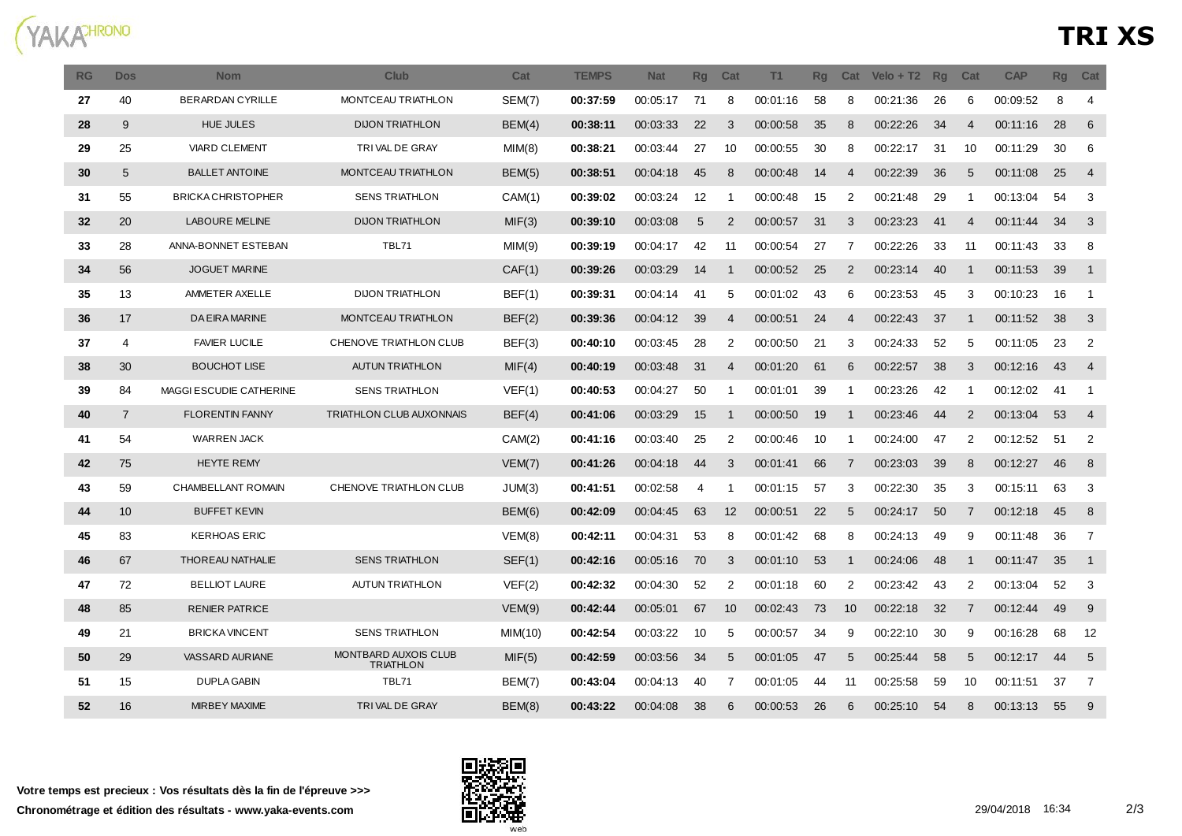

| <b>RG</b> | <b>Dos</b>     | <b>Nom</b>                | Club                                            | Cat     | <b>TEMPS</b> | <b>Nat</b> | <b>Rg</b> | Cat            | T1       | Rq | Cat            | $Velo + T2$ | <b>Rq</b> | Cat            | <b>CAP</b> | <b>Rg</b> | Cat                        |
|-----------|----------------|---------------------------|-------------------------------------------------|---------|--------------|------------|-----------|----------------|----------|----|----------------|-------------|-----------|----------------|------------|-----------|----------------------------|
| 27        | 40             | <b>BERARDAN CYRILLE</b>   | MONTCEAU TRIATHLON                              | SEM(7)  | 00:37:59     | 00:05:17   | 71        | 8              | 00:01:16 | 58 | 8              | 00:21:36    | 26        | 6              | 00:09:52   | 8         | $\overline{4}$             |
| 28        | 9              | <b>HUE JULES</b>          | <b>DIJON TRIATHLON</b>                          | BEM(4)  | 00:38:11     | 00:03:33   | 22        | 3              | 00:00:58 | 35 | 8              | 00:22:26    | 34        | 4              | 00:11:16   | 28        | 6                          |
| 29        | 25             | <b>VIARD CLEMENT</b>      | TRIVAL DE GRAY                                  | MIM(8)  | 00:38:21     | 00:03:44   | 27        | 10             | 00:00:55 | 30 | 8              | 00:22:17    | 31        | 10             | 00:11:29   | 30        | 6                          |
| 30        | 5              | <b>BALLET ANTOINE</b>     | MONTCEAU TRIATHLON                              | BEM(5)  | 00:38:51     | 00:04:18   | 45        | 8              | 00:00:48 | 14 | 4              | 00:22:39    | 36        | 5              | 00:11:08   | 25        | $\overline{4}$             |
| 31        | 55             | <b>BRICKA CHRISTOPHER</b> | <b>SENS TRIATHLON</b>                           | CAM(1)  | 00:39:02     | 00:03:24   | 12        | -1             | 00:00:48 | 15 | 2              | 00:21:48    | 29        | -1             | 00:13:04   | 54        | 3                          |
| 32        | 20             | <b>LABOURE MELINE</b>     | <b>DIJON TRIATHLON</b>                          | MIF(3)  | 00:39:10     | 00:03:08   | 5         | 2              | 00:00:57 | 31 | 3              | 00:23:23    | 41        | $\overline{4}$ | 00:11:44   | 34        | 3                          |
| 33        | 28             | ANNA-BONNET ESTEBAN       | TBL71                                           | MIM(9)  | 00:39:19     | 00:04:17   | 42        | 11             | 00:00:54 | 27 | 7              | 00:22:26    | 33        | 11             | 00:11:43   | 33        | 8                          |
| 34        | 56             | <b>JOGUET MARINE</b>      |                                                 | CAF(1)  | 00:39:26     | 00:03:29   | 14        | -1             | 00:00:52 | 25 | 2              | 00:23:14    | 40        | -1             | 00:11:53   | 39        | $\overline{1}$             |
| 35        | 13             | AMMETER AXELLE            | <b>DIJON TRIATHLON</b>                          | BEF(1)  | 00:39:31     | 00:04:14   | 41        | 5              | 00:01:02 | 43 | 6              | 00:23:53    | 45        | 3              | 00:10:23   | 16        | $\overline{1}$             |
| 36        | 17             | <b>DA EIRA MARINE</b>     | MONTCEAU TRIATHLON                              | BEF(2)  | 00:39:36     | 00:04:12   | 39        | $\overline{4}$ | 00:00:51 | 24 | $\overline{4}$ | 00:22:43    | -37       | -1             | 00:11:52   | 38        | 3                          |
| 37        | $\overline{4}$ | <b>FAVIER LUCILE</b>      | CHENOVE TRIATHLON CLUB                          | BEF(3)  | 00:40:10     | 00:03:45   | 28        | 2              | 00:00:50 | 21 | 3              | 00:24:33    | 52        | 5              | 00:11:05   | 23        | $\overline{2}$             |
| 38        | 30             | <b>BOUCHOT LISE</b>       | <b>AUTUN TRIATHLON</b>                          | MIF(4)  | 00:40:19     | 00:03:48   | 31        | $\overline{4}$ | 00:01:20 | 61 | 6              | 00:22:57    | 38        | 3              | 00:12:16   | 43        | $\overline{4}$             |
| 39        | 84             | MAGGI ESCUDIE CATHERINE   | <b>SENS TRIATHLON</b>                           | VEF(1)  | 00:40:53     | 00:04:27   | 50        | -1             | 00:01:01 | 39 | - 1            | 00:23:26    | 42        | -1             | 00:12:02   | 41        | $\overline{1}$             |
| 40        | $\overline{7}$ | <b>FLORENTIN FANNY</b>    | <b>TRIATHLON CLUB AUXONNAIS</b>                 | BEF(4)  | 00:41:06     | 00:03:29   | 15        | $\mathbf{1}$   | 00:00:50 | 19 | -1             | 00:23:46    | 44        | 2              | 00:13:04   | 53        | $\overline{4}$             |
| 41        | 54             | <b>WARREN JACK</b>        |                                                 | CAM(2)  | 00:41:16     | 00:03:40   | 25        | 2              | 00:00:46 | 10 | -1             | 00:24:00    | 47        | 2              | 00:12:52   | 51        | $\overline{2}$             |
| 42        | 75             | <b>HEYTE REMY</b>         |                                                 | VEM(7)  | 00:41:26     | 00:04:18   | 44        | 3              | 00:01:41 | 66 | -7             | 00:23:03    | 39        | 8              | 00:12:27   | 46        | 8                          |
| 43        | 59             | CHAMBELLANT ROMAIN        | CHENOVE TRIATHLON CLUB                          | JUM(3)  | 00:41:51     | 00:02:58   | 4         | -1             | 00:01:15 | 57 | 3              | 00:22:30    | 35        | 3              | 00:15:11   | 63        | 3                          |
| 44        | 10             | <b>BUFFET KEVIN</b>       |                                                 | BEM(6)  | 00:42:09     | 00:04:45   | 63        | 12             | 00:00:51 | 22 | 5              | 00:24:17    | 50        | 7              | 00:12:18   | 45        | 8                          |
| 45        | 83             | <b>KERHOAS ERIC</b>       |                                                 | VEM(8)  | 00:42:11     | 00:04:31   | 53        | 8              | 00:01:42 | 68 | 8              | 00:24:13    | 49        | 9              | 00:11:48   | 36        | $\overline{7}$             |
| 46        | 67             | THOREAU NATHALIE          | <b>SENS TRIATHLON</b>                           | SEF(1)  | 00:42:16     | 00:05:16   | 70        | 3              | 00:01:10 | 53 | -1             | 00:24:06    | 48        | $\mathbf 1$    | 00.11.47   | 35        | $\overline{\phantom{0}}$ 1 |
| 47        | 72             | <b>BELLIOT LAURE</b>      | <b>AUTUN TRIATHLON</b>                          | VEF(2)  | 00:42:32     | 00:04:30   | 52        | $\overline{2}$ | 00:01:18 | 60 | 2              | 00:23:42    | 43        | 2              | 00:13:04   | 52        | 3                          |
| 48        | 85             | <b>RENIER PATRICE</b>     |                                                 | VEM(9)  | 00:42:44     | 00:05:01   | 67        | 10             | 00:02:43 | 73 | 10             | 00:22:18    | 32        | $\overline{7}$ | 00:12:44   | 49        | 9                          |
| 49        | 21             | <b>BRICKA VINCENT</b>     | <b>SENS TRIATHLON</b>                           | MIM(10) | 00:42:54     | 00:03:22   | 10        | 5              | 00:00:57 | 34 | 9              | 00:22:10    | 30        | 9              | 00:16:28   | 68        | 12                         |
| 50        | 29             | <b>VASSARD AURIANE</b>    | <b>MONTBARD AUXOIS CLUB</b><br><b>TRIATHLON</b> | MIF(5)  | 00:42:59     | 00:03:56   | 34        | 5              | 00:01:05 | 47 | 5              | 00:25:44    | 58        | 5              | 00:12:17   | 44        | 5                          |
| 51        | 15             | DUPLA GABIN               | TBL71                                           | BEM(7)  | 00:43:04     | 00:04:13   | 40        | 7              | 00:01:05 | 44 | 11             | 00:25:58    | 59        | 10             | 00:11:51   | 37        | $\overline{7}$             |
| 52        | 16             | <b>MIRBEY MAXIME</b>      | TRIVAL DE GRAY                                  | BEM(8)  | 00:43:22     | 00:04:08   | 38        | 6              | 00:00:53 | 26 | 6              | 00:25:10    | 54        | 8              | 00:13:13   | 55        | 9                          |